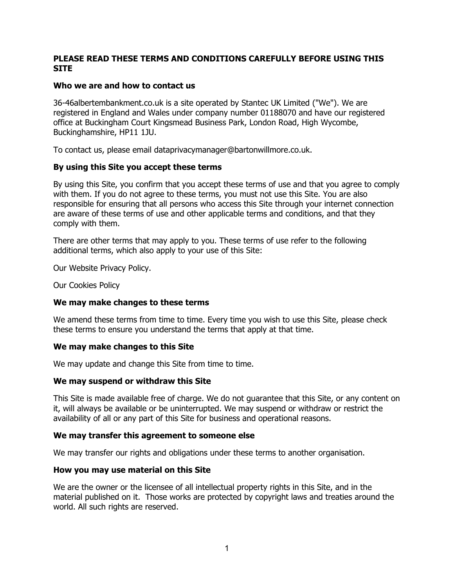## **PLEASE READ THESE TERMS AND CONDITIONS CAREFULLY BEFORE USING THIS SITE**

## **Who we are and how to contact us**

36-46albertembankment.co.uk is a site operated by Stantec UK Limited ("We"). We are registered in England and Wales under company number 01188070 and have our registered office at Buckingham Court Kingsmead Business Park, London Road, High Wycombe, Buckinghamshire, HP11 1JU.

To contact us, please email dataprivacymanager@bartonwillmore.co.uk.

### **By using this Site you accept these terms**

By using this Site, you confirm that you accept these terms of use and that you agree to comply with them. If you do not agree to these terms, you must not use this Site. You are also responsible for ensuring that all persons who access this Site through your internet connection are aware of these terms of use and other applicable terms and conditions, and that they comply with them.

There are other terms that may apply to you. These terms of use refer to the following additional terms, which also apply to your use of this Site:

Our Website Privacy Policy.

Our Cookies Policy

### **We may make changes to these terms**

We amend these terms from time to time. Every time you wish to use this Site, please check these terms to ensure you understand the terms that apply at that time.

### **We may make changes to this Site**

We may update and change this Site from time to time.

### **We may suspend or withdraw this Site**

This Site is made available free of charge. We do not guarantee that this Site, or any content on it, will always be available or be uninterrupted. We may suspend or withdraw or restrict the availability of all or any part of this Site for business and operational reasons.

### **We may transfer this agreement to someone else**

We may transfer our rights and obligations under these terms to another organisation.

### **How you may use material on this Site**

We are the owner or the licensee of all intellectual property rights in this Site, and in the material published on it. Those works are protected by copyright laws and treaties around the world. All such rights are reserved.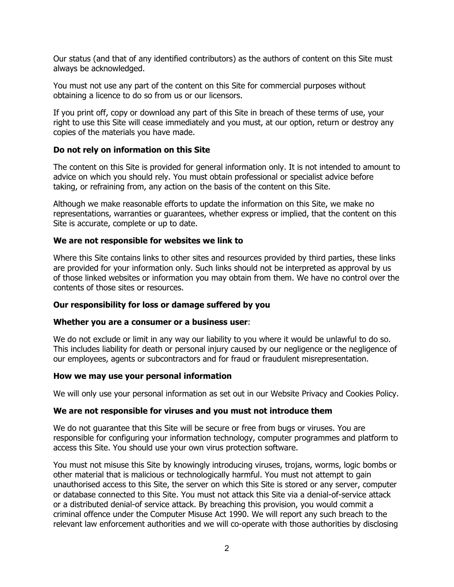Our status (and that of any identified contributors) as the authors of content on this Site must always be acknowledged.

You must not use any part of the content on this Site for commercial purposes without obtaining a licence to do so from us or our licensors.

If you print off, copy or download any part of this Site in breach of these terms of use, your right to use this Site will cease immediately and you must, at our option, return or destroy any copies of the materials you have made.

### **Do not rely on information on this Site**

The content on this Site is provided for general information only. It is not intended to amount to advice on which you should rely. You must obtain professional or specialist advice before taking, or refraining from, any action on the basis of the content on this Site.

Although we make reasonable efforts to update the information on this Site, we make no representations, warranties or guarantees, whether express or implied, that the content on this Site is accurate, complete or up to date.

#### **We are not responsible for websites we link to**

Where this Site contains links to other sites and resources provided by third parties, these links are provided for your information only. Such links should not be interpreted as approval by us of those linked websites or information you may obtain from them. We have no control over the contents of those sites or resources.

#### **Our responsibility for loss or damage suffered by you**

#### **Whether you are a consumer or a business user**:

We do not exclude or limit in any way our liability to you where it would be unlawful to do so. This includes liability for death or personal injury caused by our negligence or the negligence of our employees, agents or subcontractors and for fraud or fraudulent misrepresentation.

#### **How we may use your personal information**

We will only use your personal information as set out in our Website Privacy and Cookies Policy.

#### **We are not responsible for viruses and you must not introduce them**

We do not guarantee that this Site will be secure or free from bugs or viruses. You are responsible for configuring your information technology, computer programmes and platform to access this Site. You should use your own virus protection software.

You must not misuse this Site by knowingly introducing viruses, trojans, worms, logic bombs or other material that is malicious or technologically harmful. You must not attempt to gain unauthorised access to this Site, the server on which this Site is stored or any server, computer or database connected to this Site. You must not attack this Site via a denial-of-service attack or a distributed denial-of service attack. By breaching this provision, you would commit a criminal offence under the Computer Misuse Act 1990. We will report any such breach to the relevant law enforcement authorities and we will co-operate with those authorities by disclosing